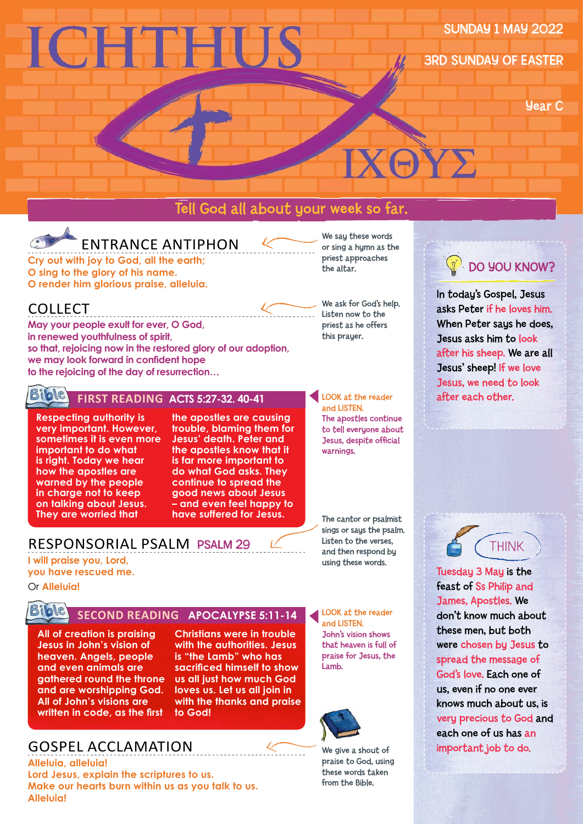# **ICHTHUS**

#### SUNDAY 1 MAY 2022

3RD SUNDAY OF EASTER

Year C

#### Tell God all about your week so far.

## ENTRANCE ANTIPHON

**Cry out with joy to God, all the earth; O sing to the glory of his name. O render him glorious praise, alleluia.**

#### COLLECT

\_\_\_\_\_\_\_\_\_\_\_\_\_\_\_\_\_\_\_\_\_\_\_\_\_\_\_\_\_\_ **May your people exult for ever, O God, in renewed youthfulness of spirit, so that, rejoicing now in the restored glory of our adoption, we may look forward in confident hope to the rejoicing of the day of resurrection…** 



#### **FIRST READING ACTS 5:27-32. 40-41**

**Respecting authority is very important. However, sometimes it is even more important to do what is right. Today we hear how the apostles are warned by the people in charge not to keep on talking about Jesus. They are worried that** 

**the apostles are causing trouble, blaming them for Jesus' death. Peter and the apostles know that it is far more important to do what God asks. They continue to spread the good news about Jesus – and even feel happy to have suffered for Jesus.**

#### RESPONSORIAL PSALM PSALM 29

**I will praise you, Lord, you have rescued me.**

Or **Alleluia!**

#### **SING** SECOND READING APOCALYPSE 5:11-14

**All of creation is praising Jesus in John's vision of heaven. Angels, people and even animals are gathered round the throne and are worshipping God. All of John's visions are written in code, as the first** 

#### **Christians were in trouble with the authorities. Jesus is "the Lamb" who has sacrificed himself to show us all just how much God loves us. Let us all join in with the thanks and praise to God!**

#### GOSPEL ACCLAMATION

**Alleluia, alleluia! Lord Jesus, explain the scriptures to us. Make our hearts burn within us as you talk to us. Alleluia!**

We say these words or sing a hymn as the priest approaches the altar.

**XA** 

We ask for God's help. ..... Listen now to the priest as he offers this prayer.

> **LOOK** at the reader and LISTEN. The apostles continue to tell everyone about Jesus, despite official warnings.

The cantor or psalmist sings or says the psalm. Listen to the verses, and then respond by using these words.

LOOK at the reader and LISTEN. John's vision shows that heaven is full of praise for Jesus, the Lamb.



We give a shout of praise to God, using these words taken from the Bible.



In today's Gospel, Jesus asks Peter if he loves him. When Peter saus he does, Jesus asks him to look after his sheep. We are all Jesus' sheep! If we love Jesus, we need to look after each other.

**A** THINK

Tuesday 3 May is the feast of Ss Philip and James, Apostles. We don't know much about these men, but both were chosen by Jesus to spread the message of God's love. Each one of us, even if no one ever knows much about us, is very precious to God and each one of us has an important job to do.